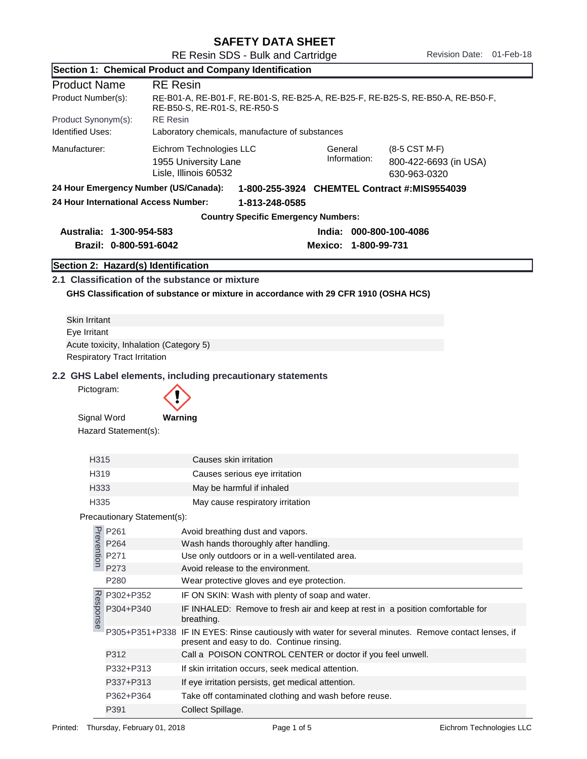| <b>SAFETY DATA SHEET</b> |  |
|--------------------------|--|
|--------------------------|--|

| Section 1: Chemical Product and Company Identification |                                         |                                                                                                                                                                |  |  |
|--------------------------------------------------------|-----------------------------------------|----------------------------------------------------------------------------------------------------------------------------------------------------------------|--|--|
| <b>Product Name</b>                                    | <b>RE</b> Resin                         |                                                                                                                                                                |  |  |
| Product Number(s):                                     |                                         | RE-B01-A, RE-B01-F, RE-B01-S, RE-B25-A, RE-B25-F, RE-B25-S, RE-B50-A, RE-B50-F,<br>RE-B50-S, RE-R01-S, RE-R50-S                                                |  |  |
| Product Synonym(s):                                    | <b>RE</b> Resin                         |                                                                                                                                                                |  |  |
| <b>Identified Uses:</b>                                |                                         | Laboratory chemicals, manufacture of substances                                                                                                                |  |  |
| Manufacturer:                                          |                                         | Eichrom Technologies LLC<br>General<br>(8-5 CST M-F)<br>Information:<br>800-422-6693 (in USA)<br>1955 University Lane<br>Lisle, Illinois 60532<br>630-963-0320 |  |  |
|                                                        | 24 Hour Emergency Number (US/Canada):   | 1-800-255-3924 CHEMTEL Contract #:MIS9554039                                                                                                                   |  |  |
| 24 Hour International Access Number:<br>1-813-248-0585 |                                         |                                                                                                                                                                |  |  |
|                                                        |                                         | <b>Country Specific Emergency Numbers:</b>                                                                                                                     |  |  |
|                                                        | Australia: 1-300-954-583                | India: 000-800-100-4086                                                                                                                                        |  |  |
|                                                        | Brazil: 0-800-591-6042                  | Mexico: 1-800-99-731                                                                                                                                           |  |  |
|                                                        | Section 2: Hazard(s) Identification     |                                                                                                                                                                |  |  |
|                                                        |                                         | 2.1 Classification of the substance or mixture                                                                                                                 |  |  |
|                                                        |                                         | GHS Classification of substance or mixture in accordance with 29 CFR 1910 (OSHA HCS)                                                                           |  |  |
|                                                        |                                         |                                                                                                                                                                |  |  |
| <b>Skin Irritant</b>                                   |                                         |                                                                                                                                                                |  |  |
| Eye Irritant                                           |                                         |                                                                                                                                                                |  |  |
|                                                        | Acute toxicity, Inhalation (Category 5) |                                                                                                                                                                |  |  |
|                                                        | <b>Respiratory Tract Irritation</b>     |                                                                                                                                                                |  |  |
|                                                        |                                         | 2.2 GHS Label elements, including precautionary statements                                                                                                     |  |  |
| Pictogram:                                             |                                         |                                                                                                                                                                |  |  |
| Signal Word                                            |                                         | Warning                                                                                                                                                        |  |  |
|                                                        | Hazard Statement(s):                    |                                                                                                                                                                |  |  |
|                                                        |                                         |                                                                                                                                                                |  |  |
| H315                                                   |                                         | Causes skin irritation                                                                                                                                         |  |  |
| H319                                                   |                                         | Causes serious eye irritation                                                                                                                                  |  |  |
| H333                                                   |                                         | May be harmful if inhaled                                                                                                                                      |  |  |
| H335                                                   |                                         | May cause respiratory irritation                                                                                                                               |  |  |
|                                                        | Precautionary Statement(s):             |                                                                                                                                                                |  |  |
|                                                        | P261                                    |                                                                                                                                                                |  |  |
| Prevention                                             | P264                                    | Avoid breathing dust and vapors.<br>Wash hands thoroughly after handling.                                                                                      |  |  |
|                                                        | P271                                    | Use only outdoors or in a well-ventilated area.                                                                                                                |  |  |
|                                                        | P273                                    | Avoid release to the environment.                                                                                                                              |  |  |
|                                                        | P280                                    | Wear protective gloves and eye protection.                                                                                                                     |  |  |
|                                                        | P302+P352                               | IF ON SKIN: Wash with plenty of soap and water.                                                                                                                |  |  |
| Response                                               | P304+P340                               | IF INHALED: Remove to fresh air and keep at rest in a position comfortable for<br>breathing.                                                                   |  |  |
|                                                        |                                         | P305+P351+P338 IF IN EYES: Rinse cautiously with water for several minutes. Remove contact lenses, if<br>present and easy to do. Continue rinsing.             |  |  |
|                                                        | P312                                    | Call a POISON CONTROL CENTER or doctor if you feel unwell.                                                                                                     |  |  |
|                                                        | P332+P313                               | If skin irritation occurs, seek medical attention.                                                                                                             |  |  |
|                                                        | P337+P313                               | If eye irritation persists, get medical attention.                                                                                                             |  |  |
|                                                        | P362+P364                               | Take off contaminated clothing and wash before reuse.                                                                                                          |  |  |
|                                                        | P391                                    | Collect Spillage.                                                                                                                                              |  |  |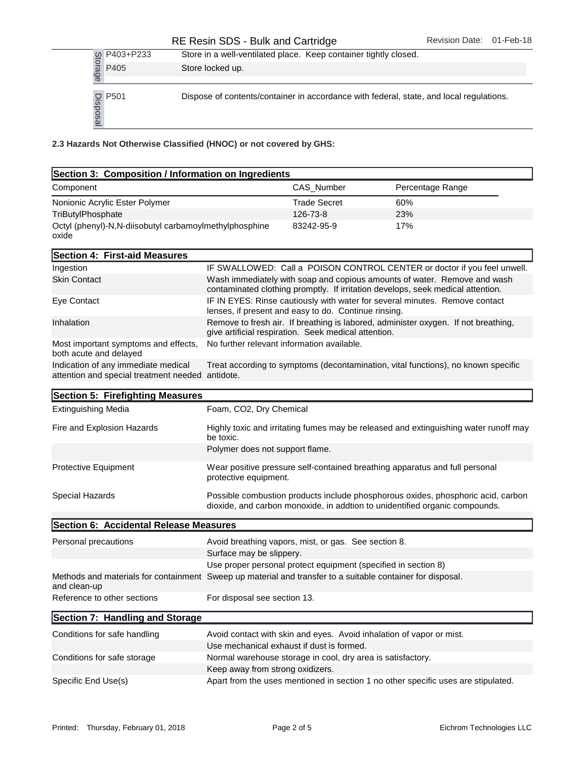## RE Resin SDS - Bulk and Cartridge Revision Date: 01-Feb-18

|                                          | Store in a well-ventilated place. Keep container tightly closed.                        |
|------------------------------------------|-----------------------------------------------------------------------------------------|
| to P403+P233<br>as P405<br>es            | Store locked up.                                                                        |
|                                          |                                                                                         |
| $\frac{1}{2}$ P501<br>$\frac{1}{2}$ P501 | Dispose of contents/container in accordance with federal, state, and local regulations. |

2.3 Hazards Not Otherwise Classified (HNOC) or not covered by GHS:

| Section 3: Composition / Information on Ingredients                                                                        |                                                                                                                                     |                                                                |                                                                                                                                                                 |
|----------------------------------------------------------------------------------------------------------------------------|-------------------------------------------------------------------------------------------------------------------------------------|----------------------------------------------------------------|-----------------------------------------------------------------------------------------------------------------------------------------------------------------|
| Component                                                                                                                  |                                                                                                                                     | CAS_Number                                                     | Percentage Range                                                                                                                                                |
| Nonionic Acrylic Ester Polymer                                                                                             |                                                                                                                                     | <b>Trade Secret</b>                                            | 60%                                                                                                                                                             |
| TriButylPhosphate                                                                                                          |                                                                                                                                     | 126-73-8                                                       | 23%                                                                                                                                                             |
| Octyl (phenyl)-N,N-diisobutyl carbamoylmethylphosphine<br>oxide                                                            |                                                                                                                                     | 83242-95-9                                                     | 17%                                                                                                                                                             |
| Section 4: First-aid Measures                                                                                              |                                                                                                                                     |                                                                |                                                                                                                                                                 |
| Ingestion                                                                                                                  |                                                                                                                                     |                                                                | IF SWALLOWED: Call a POISON CONTROL CENTER or doctor if you feel unwell.                                                                                        |
| <b>Skin Contact</b>                                                                                                        |                                                                                                                                     |                                                                | Wash immediately with soap and copious amounts of water. Remove and wash<br>contaminated clothing promptly. If irritation develops, seek medical attention.     |
| Eye Contact                                                                                                                | IF IN EYES: Rinse cautiously with water for several minutes. Remove contact<br>lenses, if present and easy to do. Continue rinsing. |                                                                |                                                                                                                                                                 |
| Inhalation                                                                                                                 |                                                                                                                                     | give artificial respiration. Seek medical attention.           | Remove to fresh air. If breathing is labored, administer oxygen. If not breathing,                                                                              |
| Most important symptoms and effects,<br>both acute and delayed                                                             |                                                                                                                                     | No further relevant information available.                     |                                                                                                                                                                 |
| Indication of any immediate medical<br>attention and special treatment needed antidote.                                    |                                                                                                                                     |                                                                | Treat according to symptoms (decontamination, vital functions), no known specific                                                                               |
| Section 5: Firefighting Measures                                                                                           |                                                                                                                                     |                                                                |                                                                                                                                                                 |
| <b>Extinguishing Media</b>                                                                                                 | Foam, CO2, Dry Chemical                                                                                                             |                                                                |                                                                                                                                                                 |
| Fire and Explosion Hazards                                                                                                 | be toxic.                                                                                                                           |                                                                | Highly toxic and irritating fumes may be released and extinguishing water runoff may                                                                            |
|                                                                                                                            | Polymer does not support flame.                                                                                                     |                                                                |                                                                                                                                                                 |
| Protective Equipment                                                                                                       | Wear positive pressure self-contained breathing apparatus and full personal<br>protective equipment.                                |                                                                |                                                                                                                                                                 |
| Special Hazards                                                                                                            |                                                                                                                                     |                                                                | Possible combustion products include phosphorous oxides, phosphoric acid, carbon<br>dioxide, and carbon monoxide, in addtion to unidentified organic compounds. |
| Section 6: Accidental Release Measures                                                                                     |                                                                                                                                     |                                                                |                                                                                                                                                                 |
| Personal precautions                                                                                                       |                                                                                                                                     | Avoid breathing vapors, mist, or gas. See section 8.           |                                                                                                                                                                 |
|                                                                                                                            | Surface may be slippery.                                                                                                            |                                                                |                                                                                                                                                                 |
|                                                                                                                            |                                                                                                                                     | Use proper personal protect equipment (specified in section 8) |                                                                                                                                                                 |
| Methods and materials for containment Sweep up material and transfer to a suitable container for disposal.<br>and clean-up |                                                                                                                                     |                                                                |                                                                                                                                                                 |
| Reference to other sections                                                                                                | For disposal see section 13.                                                                                                        |                                                                |                                                                                                                                                                 |
| Section 7: Handling and Storage                                                                                            |                                                                                                                                     |                                                                |                                                                                                                                                                 |
| Conditions for safe handling                                                                                               |                                                                                                                                     |                                                                | Avoid contact with skin and eyes. Avoid inhalation of vapor or mist.                                                                                            |
|                                                                                                                            |                                                                                                                                     | Use mechanical exhaust if dust is formed.                      |                                                                                                                                                                 |
| Conditions for safe storage                                                                                                |                                                                                                                                     | Normal warehouse storage in cool, dry area is satisfactory.    |                                                                                                                                                                 |
|                                                                                                                            | Keep away from strong oxidizers.                                                                                                    |                                                                |                                                                                                                                                                 |
| Specific End Use(s)                                                                                                        |                                                                                                                                     |                                                                | Apart from the uses mentioned in section 1 no other specific uses are stipulated.                                                                               |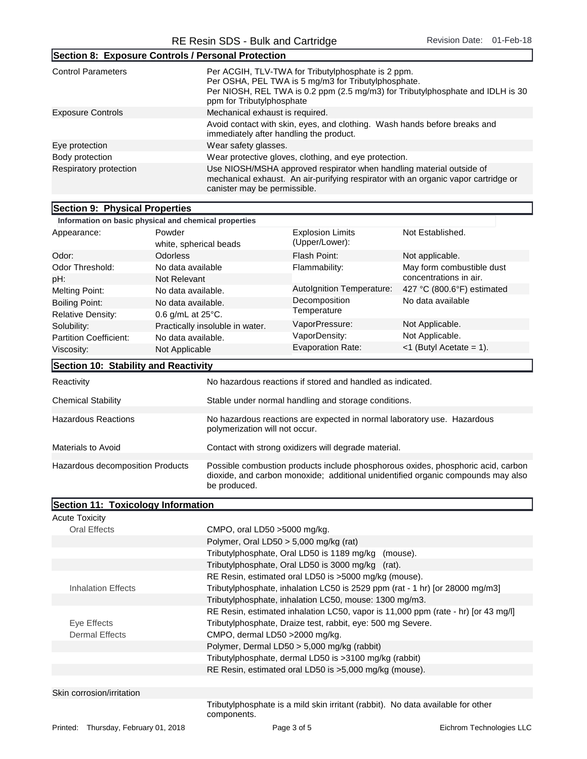Section 8: Exposure Controls / Personal Protection

| ISection 6. Exposure Controls / Personal Protection |                                                                                                                                                                                                                          |
|-----------------------------------------------------|--------------------------------------------------------------------------------------------------------------------------------------------------------------------------------------------------------------------------|
| <b>Control Parameters</b>                           | Per ACGIH, TLV-TWA for Tributylphosphate is 2 ppm.<br>Per OSHA, PEL TWA is 5 mg/m3 for Tributylphosphate.<br>Per NIOSH, REL TWA is 0.2 ppm (2.5 mg/m3) for Tributylphosphate and IDLH is 30<br>ppm for Tributylphosphate |
| <b>Exposure Controls</b>                            | Mechanical exhaust is required.                                                                                                                                                                                          |
|                                                     | Avoid contact with skin, eyes, and clothing. Wash hands before breaks and<br>immediately after handling the product.                                                                                                     |
| Eye protection                                      | Wear safety glasses.                                                                                                                                                                                                     |
| Body protection                                     | Wear protective gloves, clothing, and eye protection.                                                                                                                                                                    |
| Respiratory protection                              | Use NIOSH/MSHA approved respirator when handling material outside of<br>mechanical exhaust. An air-purifying respirator with an organic vapor cartridge or<br>canister may be permissible.                               |
|                                                     |                                                                                                                                                                                                                          |
| Section 9: Physical Properties                      |                                                                                                                                                                                                                          |

## Information on basic physical and chemical properties Appearance: Powder white, spherical beads Odor: **Odorless** Odor Threshold: No data available pH: Not Relevant Melting Point: No data available. Boiling Point: No data available. Relative Density: 0.6 g/mL at 25°C. Solubility: Practically insoluble in water. Partition Coefficient: No data available. Viscosity: Not Applicable Flash Point: Not applicable. Evaporation Rate:  $\lt1$  (Butyl Acetate = 1). Flammability: May form combustible dust concentrations in air. Explosion Limits (Upper/Lower): Not Established. VaporPressure: Not Applicable. VaporDensity: Not Applicable. AutoIgnition Temperature: 427 °C (800.6°F) estimated Decomposition Temperature No data available Section 10: Stability and Reactivity Reactivity **No hazardous reactions if stored and handled as indicated.** Chemical Stability Stable under normal handling and storage conditions. No hazardous reactions are expected in normal laboratory use. Hazardous polymerization will not occur. Hazardous Reactions

| Materials to Avoid               | Contact with strong oxidizers will degrade material.                                                                                                                                 |
|----------------------------------|--------------------------------------------------------------------------------------------------------------------------------------------------------------------------------------|
|                                  |                                                                                                                                                                                      |
| Hazardous decomposition Products | Possible combustion products include phosphorous oxides, phosphoric acid, carbon<br>dioxide, and carbon monoxide; additional unidentified organic compounds may also<br>be produced. |

|                                                | Section 11: Toxicology Information |  |
|------------------------------------------------|------------------------------------|--|
| $\mathbf{A}$ and $\mathbf{A}$ and $\mathbf{A}$ |                                    |  |

| Acute Toxicity                       |                                                                                                |                          |  |
|--------------------------------------|------------------------------------------------------------------------------------------------|--------------------------|--|
| <b>Oral Effects</b>                  | CMPO, oral LD50 $>$ 5000 mg/kg.                                                                |                          |  |
|                                      | Polymer, Oral LD50 $>$ 5,000 mg/kg (rat)                                                       |                          |  |
|                                      | Tributylphosphate, Oral LD50 is 1189 mg/kg (mouse).                                            |                          |  |
|                                      | Tributylphosphate, Oral LD50 is 3000 mg/kg (rat).                                              |                          |  |
|                                      | RE Resin, estimated oral LD50 is >5000 mg/kg (mouse).                                          |                          |  |
| <b>Inhalation Effects</b>            | Tributylphosphate, inhalation LC50 is 2529 ppm (rat - 1 hr) [or 28000 mg/m3]                   |                          |  |
|                                      | Tributylphosphate, inhalation LC50, mouse: 1300 mg/m3.                                         |                          |  |
|                                      | RE Resin, estimated inhalation LC50, vapor is 11,000 ppm (rate - hr) [or 43 mg/l]              |                          |  |
| Eye Effects                          | Tributylphosphate, Draize test, rabbit, eye: 500 mg Severe.                                    |                          |  |
| <b>Dermal Effects</b>                | CMPO, dermal LD50 > 2000 mg/kg.                                                                |                          |  |
|                                      | Polymer, Dermal LD50 > 5,000 mg/kg (rabbit)                                                    |                          |  |
|                                      | Tributylphosphate, dermal LD50 is >3100 mg/kg (rabbit)                                         |                          |  |
|                                      | RE Resin, estimated oral LD50 is >5,000 mg/kg (mouse).                                         |                          |  |
|                                      |                                                                                                |                          |  |
| Skin corrosion/irritation            |                                                                                                |                          |  |
|                                      | Tributylphosphate is a mild skin irritant (rabbit). No data available for other<br>components. |                          |  |
| Printed: Thursday, February 01, 2018 | Page 3 of 5                                                                                    | Eichrom Technologies LLC |  |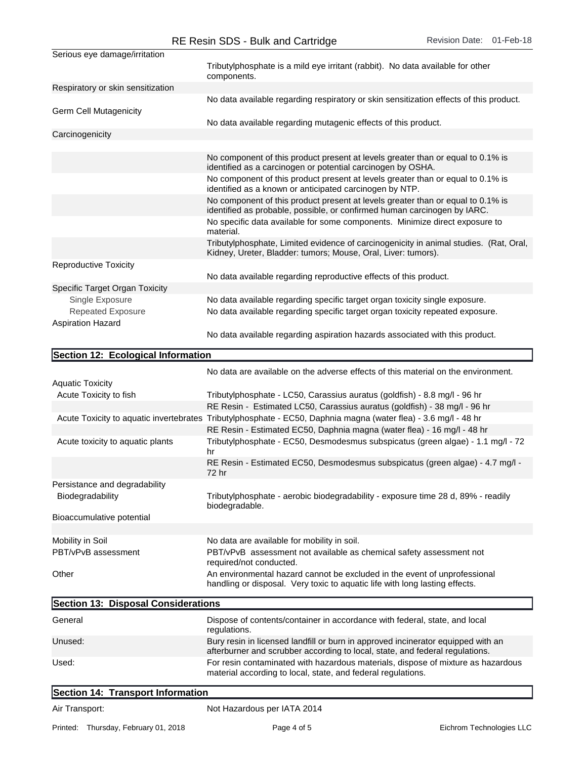|                                     | NE NUSILI SDS - DUIN AND CANNOYE                                                                                                                                 |  |
|-------------------------------------|------------------------------------------------------------------------------------------------------------------------------------------------------------------|--|
| Serious eye damage/irritation       |                                                                                                                                                                  |  |
|                                     | Tributylphosphate is a mild eye irritant (rabbit). No data available for other<br>components.                                                                    |  |
| Respiratory or skin sensitization   |                                                                                                                                                                  |  |
| <b>Germ Cell Mutagenicity</b>       | No data available regarding respiratory or skin sensitization effects of this product.                                                                           |  |
|                                     | No data available regarding mutagenic effects of this product.                                                                                                   |  |
| Carcinogenicity                     |                                                                                                                                                                  |  |
|                                     |                                                                                                                                                                  |  |
|                                     | No component of this product present at levels greater than or equal to 0.1% is<br>identified as a carcinogen or potential carcinogen by OSHA.                   |  |
|                                     | No component of this product present at levels greater than or equal to 0.1% is<br>identified as a known or anticipated carcinogen by NTP.                       |  |
|                                     | No component of this product present at levels greater than or equal to 0.1% is<br>identified as probable, possible, or confirmed human carcinogen by IARC.      |  |
|                                     | No specific data available for some components. Minimize direct exposure to<br>material.                                                                         |  |
|                                     | Tributylphosphate, Limited evidence of carcinogenicity in animal studies. (Rat, Oral,<br>Kidney, Ureter, Bladder: tumors; Mouse, Oral, Liver: tumors).           |  |
| <b>Reproductive Toxicity</b>        |                                                                                                                                                                  |  |
|                                     | No data available regarding reproductive effects of this product.                                                                                                |  |
| Specific Target Organ Toxicity      |                                                                                                                                                                  |  |
| Single Exposure                     | No data available regarding specific target organ toxicity single exposure.                                                                                      |  |
| <b>Repeated Exposure</b>            | No data available regarding specific target organ toxicity repeated exposure.                                                                                    |  |
| <b>Aspiration Hazard</b>            | No data available regarding aspiration hazards associated with this product.                                                                                     |  |
|                                     |                                                                                                                                                                  |  |
| Section 12: Ecological Information  |                                                                                                                                                                  |  |
|                                     | No data are available on the adverse effects of this material on the environment.                                                                                |  |
| <b>Aquatic Toxicity</b>             |                                                                                                                                                                  |  |
| Acute Toxicity to fish              | Tributylphosphate - LC50, Carassius auratus (goldfish) - 8.8 mg/l - 96 hr                                                                                        |  |
|                                     | RE Resin - Estimated LC50, Carassius auratus (goldfish) - 38 mg/l - 96 hr                                                                                        |  |
|                                     | Acute Toxicity to aquatic invertebrates Tributylphosphate - EC50, Daphnia magna (water flea) - 3.6 mg/l - 48 hr                                                  |  |
|                                     | RE Resin - Estimated EC50, Daphnia magna (water flea) - 16 mg/l - 48 hr                                                                                          |  |
| Acute toxicity to aquatic plants    | Tributylphosphate - EC50, Desmodesmus subspicatus (green algae) - 1.1 mg/l - 72<br>hr                                                                            |  |
|                                     | RE Resin - Estimated EC50, Desmodesmus subspicatus (green algae) - 4.7 mg/l -<br>72 hr                                                                           |  |
| Persistance and degradability       |                                                                                                                                                                  |  |
| Biodegradability                    | Tributylphosphate - aerobic biodegradability - exposure time 28 d, 89% - readily<br>biodegradable.                                                               |  |
| Bioaccumulative potential           |                                                                                                                                                                  |  |
| Mobility in Soil                    | No data are available for mobility in soil.                                                                                                                      |  |
| PBT/vPvB assessment                 | PBT/vPvB assessment not available as chemical safety assessment not<br>required/not conducted.                                                                   |  |
| Other                               | An environmental hazard cannot be excluded in the event of unprofessional<br>handling or disposal. Very toxic to aquatic life with long lasting effects.         |  |
| Section 13: Disposal Considerations |                                                                                                                                                                  |  |
| General                             | Dispose of contents/container in accordance with federal, state, and local<br>regulations.                                                                       |  |
| Unused:                             | Bury resin in licensed landfill or burn in approved incinerator equipped with an<br>afterburner and scrubber according to local, state, and federal regulations. |  |
| Used:                               | For resin contaminated with hazardous materials, dispose of mixture as hazardous<br>material according to local, state, and federal regulations.                 |  |

## Section 14: Transport Information